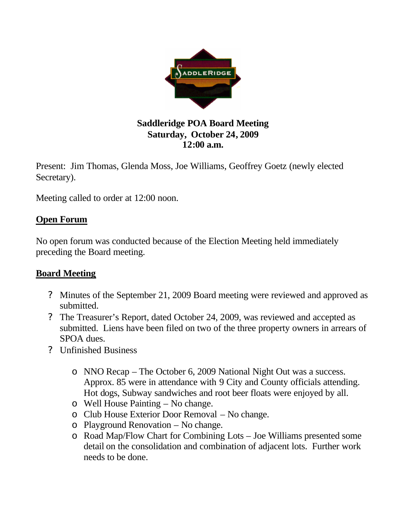

## **Saddleridge POA Board Meeting Saturday, October 24, 2009 12:00 a.m.**

Present: Jim Thomas, Glenda Moss, Joe Williams, Geoffrey Goetz (newly elected Secretary).

Meeting called to order at 12:00 noon.

## **Open Forum**

No open forum was conducted because of the Election Meeting held immediately preceding the Board meeting.

## **Board Meeting**

- ? Minutes of the September 21, 2009 Board meeting were reviewed and approved as submitted.
- ? The Treasurer's Report, dated October 24, 2009, was reviewed and accepted as submitted. Liens have been filed on two of the three property owners in arrears of SPOA dues.
- ? Unfinished Business
	- o NNO Recap The October 6, 2009 National Night Out was a success. Approx. 85 were in attendance with 9 City and County officials attending. Hot dogs, Subway sandwiches and root beer floats were enjoyed by all.
	- o Well House Painting No change.
	- o Club House Exterior Door Removal No change.
	- o Playground Renovation No change.
	- o Road Map/Flow Chart for Combining Lots Joe Williams presented some detail on the consolidation and combination of adjacent lots. Further work needs to be done.